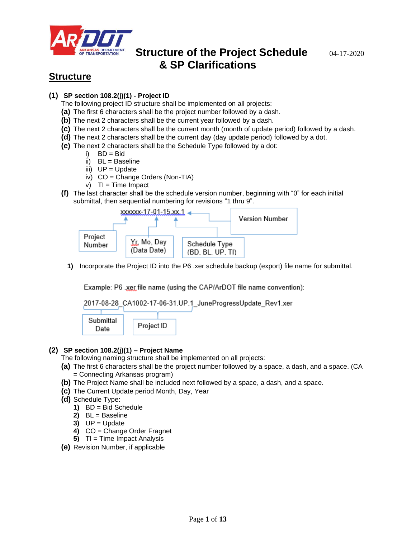

## **Structure**

### **(1) SP section 108.2(j)(1) - Project ID**

The following project ID structure shall be implemented on all projects:

- **(a)** The first 6 characters shall be the project number followed by a dash.
- **(b)** The next 2 characters shall be the current year followed by a dash.
- **(c)** The next 2 characters shall be the current month (month of update period) followed by a dash.
- **(d)** The next 2 characters shall be the current day (day update period) followed by a dot.
- **(e)** The next 2 characters shall be the Schedule Type followed by a dot:
	- $i)$  BD = Bid
	- ii) BL = Baseline
	- iii)  $UP = Update$
	- iv) CO = Change Orders (Non-TIA)
	- $v)$  TI = Time Impact
- **(f)** The last character shall be the schedule version number, beginning with "0" for each initial submittal, then sequential numbering for revisions "1 thru 9".



**1)** Incorporate the Project ID into the P6 .xer schedule backup (export) file name for submittal.

Example: P6 .xer file name (using the CAP/ArDOT file name convention):



### **(2) SP section 108.2(j)(1) – Project Name**

- The following naming structure shall be implemented on all projects:
- **(a)** The first 6 characters shall be the project number followed by a space, a dash, and a space. (CA = Connecting Arkansas program)
- **(b)** The Project Name shall be included next followed by a space, a dash, and a space.
- **(c)** The Current Update period Month, Day, Year
- **(d)** Schedule Type:
	- **1)** BD = Bid Schedule
	- **2)** BL = Baseline
	- $3)$  UP = Update
	- **4)** CO = Change Order Fragnet
	- **5)** TI = Time Impact Analysis
- **(e)** Revision Number, if applicable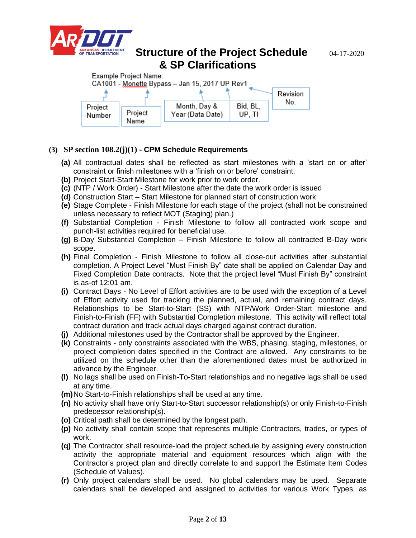







### **(3) SP section 108.2(j)(1) - CPM Schedule Requirements**

- **(a)** All contractual dates shall be reflected as start milestones with a 'start on or after' constraint or finish milestones with a 'finish on or before' constraint.
- **(b)** Project Start-Start Milestone for work prior to work order.
- **(c)** (NTP / Work Order) Start Milestone after the date the work order is issued
- **(d)** Construction Start Start Milestone for planned start of construction work
- **(e)** Stage Complete Finish Milestone for each stage of the project (shall not be constrained unless necessary to reflect MOT (Staging) plan.)
- **(f)** Substantial Completion Finish Milestone to follow all contracted work scope and punch-list activities required for beneficial use.
- **(g)** B-Day Substantial Completion Finish Milestone to follow all contracted B-Day work scope.
- **(h)** Final Completion Finish Milestone to follow all close-out activities after substantial completion. A Project Level "Must Finish By" date shall be applied on Calendar Day and Fixed Completion Date contracts. Note that the project level "Must Finish By" constraint is as-of 12:01 am.
- **(i)** Contract Days No Level of Effort activities are to be used with the exception of a Level of Effort activity used for tracking the planned, actual, and remaining contract days. Relationships to be Start-to-Start (SS) with NTP/Work Order-Start milestone and Finish-to-Finish (FF) with Substantial Completion milestone. This activity will reflect total contract duration and track actual days charged against contract duration.
- **(j)** Additional milestones used by the Contractor shall be approved by the Engineer.
- **(k)** Constraints only constraints associated with the WBS, phasing, staging, milestones, or project completion dates specified in the Contract are allowed. Any constraints to be utilized on the schedule other than the aforementioned dates must be authorized in advance by the Engineer.
- **(l)** No lags shall be used on Finish-To-Start relationships and no negative lags shall be used at any time.
- **(m)**No Start-to-Finish relationships shall be used at any time.
- **(n)** No activity shall have only Start-to-Start successor relationship(s) or only Finish-to-Finish predecessor relationship(s).
- **(o)** Critical path shall be determined by the longest path.
- **(p)** No activity shall contain scope that represents multiple Contractors, trades, or types of work.
- **(q)** The Contractor shall resource-load the project schedule by assigning every construction activity the appropriate material and equipment resources which align with the Contractor's project plan and directly correlate to and support the Estimate Item Codes (Schedule of Values).
- **(r)** Only project calendars shall be used. No global calendars may be used. Separate calendars shall be developed and assigned to activities for various Work Types, as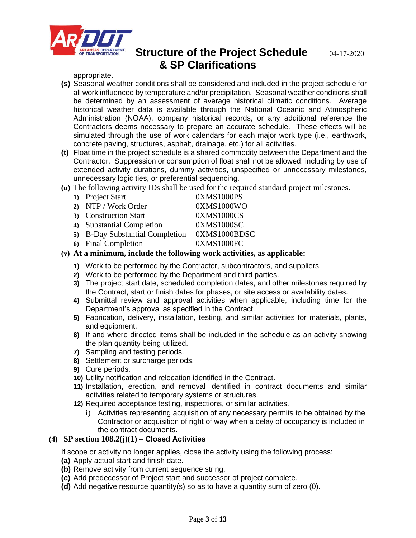

appropriate.

- **(s)** Seasonal weather conditions shall be considered and included in the project schedule for all work influenced by temperature and/or precipitation. Seasonal weather conditions shall be determined by an assessment of average historical climatic conditions. Average historical weather data is available through the National Oceanic and Atmospheric Administration (NOAA), company historical records, or any additional reference the Contractors deems necessary to prepare an accurate schedule. These effects will be simulated through the use of work calendars for each major work type (i.e., earthwork, concrete paving, structures, asphalt, drainage, etc.) for all activities.
- **(t)** Float time in the project schedule is a shared commodity between the Department and the Contractor. Suppression or consumption of float shall not be allowed, including by use of extended activity durations, dummy activities, unspecified or unnecessary milestones, unnecessary logic ties, or preferential sequencing.
- **(u)** The following activity IDs shall be used for the required standard project milestones.

| 1) Project Start                | 0XMS1000PS   |
|---------------------------------|--------------|
| 2) NTP / Work Order             | 0XMS1000WO   |
| 3) Construction Start           | 0XMS1000CS   |
| 4) Substantial Completion       | 0XMS1000SC   |
| 5) B-Day Substantial Completion | 0XMS1000BDSC |
| 6) Final Completion             | 0XMS1000FC   |
|                                 |              |

- **(v) At a minimum, include the following work activities, as applicable:**
	- **1)** Work to be performed by the Contractor, subcontractors, and suppliers.
	- **2)** Work to be performed by the Department and third parties.
	- **3)** The project start date, scheduled completion dates, and other milestones required by the Contract, start or finish dates for phases, or site access or availability dates.
	- **4)** Submittal review and approval activities when applicable, including time for the Department's approval as specified in the Contract.
	- **5)** Fabrication, delivery, installation, testing, and similar activities for materials, plants, and equipment.
	- **6)** If and where directed items shall be included in the schedule as an activity showing the plan quantity being utilized.
	- **7)** Sampling and testing periods.
	- **8)** Settlement or surcharge periods.
	- **9)** Cure periods.
	- **10)** Utility notification and relocation identified in the Contract.
	- **11)** Installation, erection, and removal identified in contract documents and similar activities related to temporary systems or structures.
	- **12)** Required acceptance testing, inspections, or similar activities.
		- i) Activities representing acquisition of any necessary permits to be obtained by the Contractor or acquisition of right of way when a delay of occupancy is included in the contract documents.

### **(4) SP section 108.2(j)(1) – Closed Activities**

If scope or activity no longer applies, close the activity using the following process:

- **(a)** Apply actual start and finish date.
- **(b)** Remove activity from current sequence string.
- **(c)** Add predecessor of Project start and successor of project complete.
- **(d)** Add negative resource quantity(s) so as to have a quantity sum of zero (0).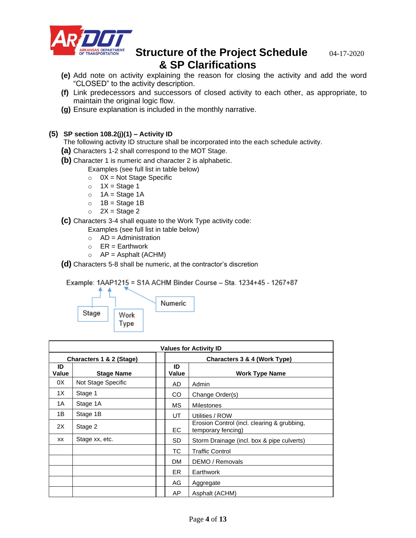

- **(e)** Add note on activity explaining the reason for closing the activity and add the word "CLOSED" to the activity description.
- **(f)** Link predecessors and successors of closed activity to each other, as appropriate, to maintain the original logic flow.
- **(g)** Ensure explanation is included in the monthly narrative.

### **(5) SP section 108.2(j)(1) – Activity ID**

The following activity ID structure shall be incorporated into the each schedule activity.

- **(a)** Characters 1-2 shall correspond to the MOT Stage.
- **(b)** Character 1 is numeric and character 2 is alphabetic.

Examples (see full list in table below)

- $\circ$  0X = Not Stage Specific
- $\circ$  1X = Stage 1
- $O$  1A = Stage 1A
- $\circ$  1B = Stage 1B
- $\circ$  2X = Stage 2

**(c)** Characters 3-4 shall equate to the Work Type activity code:

Examples (see full list in table below)

- $\circ$  AD = Administration
- $\circ$  ER = Earthwork
- $\circ$  AP = Asphalt (ACHM)

**(d)** Characters 5-8 shall be numeric, at the contractor's discretion

Example: 1AAP1215 = S1A ACHM Binder Course - Sta. 1234+45 - 1267+87



| <b>Values for Activity ID</b> |                    |  |                              |                                                                   |  |
|-------------------------------|--------------------|--|------------------------------|-------------------------------------------------------------------|--|
| Characters 1 & 2 (Stage)      |                    |  | Characters 3 & 4 (Work Type) |                                                                   |  |
| ID<br>Value                   | <b>Stage Name</b>  |  | ID<br>Value                  | <b>Work Type Name</b>                                             |  |
| 0X                            | Not Stage Specific |  | AD                           | Admin                                                             |  |
| 1X                            | Stage 1            |  | CO                           | Change Order(s)                                                   |  |
| 1A                            | Stage 1A           |  | МS                           | <b>Milestones</b>                                                 |  |
| 1B                            | Stage 1B           |  | UT                           | Utilities / ROW                                                   |  |
| 2X                            | Stage 2            |  | EC.                          | Erosion Control (incl. clearing & grubbing,<br>temporary fencing) |  |
| XX                            | Stage xx, etc.     |  | <b>SD</b>                    | Storm Drainage (incl. box & pipe culverts)                        |  |
|                               |                    |  | TC.                          | <b>Traffic Control</b>                                            |  |
|                               |                    |  | DM.                          | DEMO / Removals                                                   |  |
|                               |                    |  | ER.                          | Earthwork                                                         |  |
|                               |                    |  | AG                           | Aggregate                                                         |  |
|                               |                    |  | AP                           | Asphalt (ACHM)                                                    |  |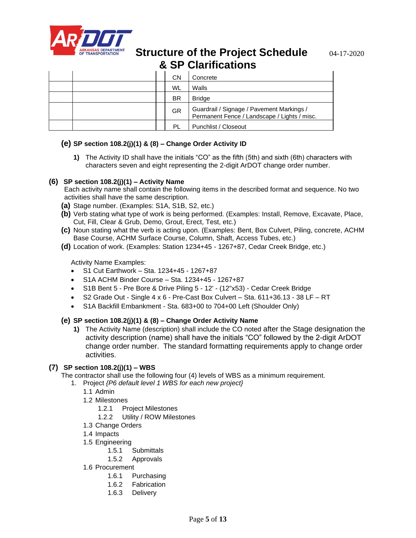

|  | <b>CN</b> | Concrete                                                                                  |
|--|-----------|-------------------------------------------------------------------------------------------|
|  | WL        | Walls                                                                                     |
|  | <b>BR</b> | <b>Bridge</b>                                                                             |
|  | <b>GR</b> | Guardrail / Signage / Pavement Markings /<br>Permanent Fence / Landscape / Lights / misc. |
|  | ΡI        | Punchlist / Closeout                                                                      |

### **(e) SP section 108.2(j)(1) & (8) – Change Order Activity ID**

**1)** The Activity ID shall have the initials "CO" as the fifth (5th) and sixth (6th) characters with characters seven and eight representing the 2-digit ArDOT change order number.

### **(6) SP section 108.2(j)(1) – Activity Name**

Each activity name shall contain the following items in the described format and sequence. No two activities shall have the same description.

- **(a)** Stage number. (Examples: S1A, S1B, S2, etc.)
- **(b)** Verb stating what type of work is being performed. (Examples: Install, Remove, Excavate, Place, Cut, Fill, Clear & Grub, Demo, Grout, Erect, Test, etc.)
- **(c)** Noun stating what the verb is acting upon. (Examples: Bent, Box Culvert, Piling, concrete, ACHM Base Course, ACHM Surface Course, Column, Shaft, Access Tubes, etc.)
- **(d)** Location of work. (Examples: Station 1234+45 1267+87, Cedar Creek Bridge, etc.)

Activity Name Examples:

- S1 Cut Earthwork Sta. 1234+45 1267+87
- S1A ACHM Binder Course Sta. 1234+45 1267+87
- S1B Bent 5 Pre Bore & Drive Piling 5 12' (12"x53) Cedar Creek Bridge
- S2 Grade Out Single 4 x 6 Pre-Cast Box Culvert Sta. 611+36.13 38 LF RT
- S1A Backfill Embankment Sta. 683+00 to 704+00 Left (Shoulder Only)

#### **(e) SP section 108.2(j)(1) & (8) – Change Order Activity Name**

**1)** The Activity Name (description) shall include the CO noted after the Stage designation the activity description (name) shall have the initials "CO" followed by the 2-digit ArDOT change order number. The standard formatting requirements apply to change order activities.

### **(7) SP section 108.2(j)(1) – WBS**

The contractor shall use the following four (4) levels of WBS as a minimum requirement.

1. Project *{P6 default level 1 WBS for each new project}*

- 1.1 Admin
- 1.2 Milestones
	- 1.2.1 Project Milestones
	- 1.2.2 Utility / ROW Milestones
- 1.3 Change Orders
- 1.4 Impacts
- 1.5 Engineering
	- 1.5.1 Submittals
	- 1.5.2 Approvals
- 1.6 Procurement
	- 1.6.1 Purchasing
	- 1.6.2 Fabrication
	- 1.6.3 Delivery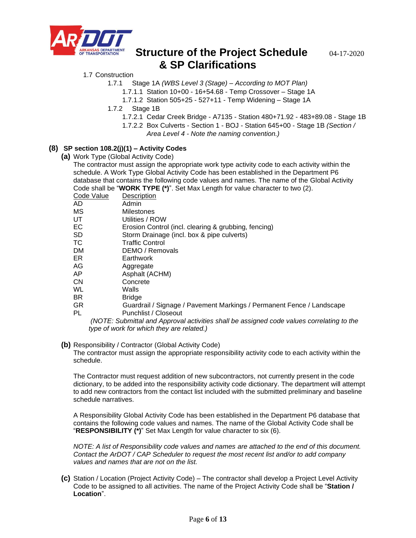

#### 1.7 Construction

- 1.7.1 Stage 1A *(WBS Level 3 (Stage) – According to MOT Plan)*
	- 1.7.1.1 Station 10+00 16+54.68 Temp Crossover Stage 1A
	- 1.7.1.2 Station 505+25 527+11 Temp Widening Stage 1A
- 1.7.2 Stage 1B
	- 1.7.2.1 Cedar Creek Bridge A7135 Station 480+71.92 483+89.08 Stage 1B
	- 1.7.2.2 Box Culverts Section 1 BOJ Station 645+00 Stage 1B *(Section /* 
		- *Area Level 4 - Note the naming convention.)*

#### **(8) SP section 108.2(j)(1) – Activity Codes**

**(a)** Work Type (Global Activity Code)

The contractor must assign the appropriate work type activity code to each activity within the schedule. A Work Type Global Activity Code has been established in the Department P6 database that contains the following code values and names. The name of the Global Activity Code shall be "**WORK TYPE (\*)**". Set Max Length for value character to two (2).

| Code Value | Description                                                           |
|------------|-----------------------------------------------------------------------|
| AD         | Admin                                                                 |
| МS         | Milestones                                                            |
| UT         | Utilities / ROW                                                       |
| EС         | Erosion Control (incl. clearing & grubbing, fencing)                  |
| SD         | Storm Drainage (incl. box & pipe culverts)                            |
| ТC         | <b>Traffic Control</b>                                                |
| DM         | DEMO / Removals                                                       |
| ER         | Earthwork                                                             |
| AG         | Aggregate                                                             |
| AP         | Asphalt (ACHM)                                                        |
| СN         | Concrete                                                              |
| WL         | Walls                                                                 |
| ΒR         | <b>Bridge</b>                                                         |
| ΩD.        | Cuardrail / Signago / Davement Markings / Dermanent Eense / Landssane |

Juardrail / Signage / Pavement Markings / Permanent Fence / Landscape PL Punchlist / Closeout

*(NOTE: Submittal and Approval activities shall be assigned code values correlating to the type of work for which they are related.)*

#### **(b)** Responsibility / Contractor (Global Activity Code)

The contractor must assign the appropriate responsibility activity code to each activity within the schedule.

The Contractor must request addition of new subcontractors, not currently present in the code dictionary, to be added into the responsibility activity code dictionary. The department will attempt to add new contractors from the contact list included with the submitted preliminary and baseline schedule narratives.

A Responsibility Global Activity Code has been established in the Department P6 database that contains the following code values and names. The name of the Global Activity Code shall be "**RESPONSIBILITY (\*)**" Set Max Length for value character to six (6).

*NOTE: A list of Responsibility code values and names are attached to the end of this document. Contact the ArDOT / CAP Scheduler to request the most recent list and/or to add company values and names that are not on the list.*

**(c)** Station / Location (Project Activity Code) – The contractor shall develop a Project Level Activity Code to be assigned to all activities. The name of the Project Activity Code shall be "**Station / Location**".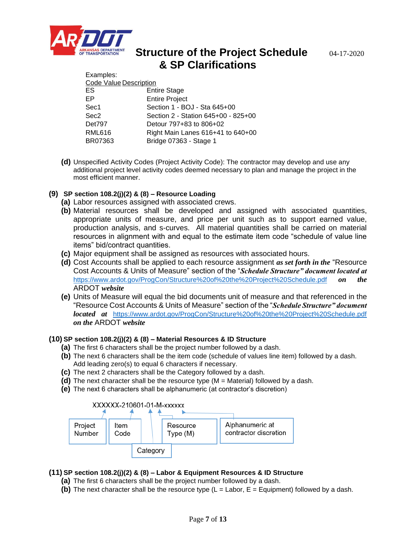

Examples:

# **Structure of the Project Schedule** 04-17-2020 **& SP Clarifications**

| LAQUIDICS.                          |  |  |  |  |
|-------------------------------------|--|--|--|--|
| Code Value Description              |  |  |  |  |
| <b>Entire Stage</b>                 |  |  |  |  |
| <b>Entire Project</b>               |  |  |  |  |
| Section 1 - BOJ - Sta 645+00        |  |  |  |  |
| Section 2 - Station 645+00 - 825+00 |  |  |  |  |
| Detour 797+83 to 806+02             |  |  |  |  |
| Right Main Lanes 616+41 to 640+00   |  |  |  |  |
| Bridge 07363 - Stage 1              |  |  |  |  |
|                                     |  |  |  |  |

**(d)** Unspecified Activity Codes (Project Activity Code): The contractor may develop and use any additional project level activity codes deemed necessary to plan and manage the project in the most efficient manner.

### **(9) SP section 108.2(j)(2) & (8) – Resource Loading**

- **(a)** Labor resources assigned with associated crews.
- **(b)** Material resources shall be developed and assigned with associated quantities, appropriate units of measure, and price per unit such as to support earned value, production analysis, and s-curves. All material quantities shall be carried on material resources in alignment with and equal to the estimate item code "schedule of value line items" bid/contract quantities.
- **(c)** Major equipment shall be assigned as resources with associated hours.
- **(d)** Cost Accounts shall be applied to each resource assignment *as set forth in the* "Resource Cost Accounts & Units of Measure" section of the "*Schedule Structure" document located at*  <https://www.ardot.gov/ProgCon/Structure%20of%20the%20Project%20Schedule.pdf> *on the*  ARDOT *website*
- **(e)** Units of Measure will equal the bid documents unit of measure and that referenced in the "Resource Cost Accounts & Units of Measure" section of the "*Schedule Structure" document located at* <https://www.ardot.gov/ProgCon/Structure%20of%20the%20Project%20Schedule.pdf> *on the* ARDOT *website*

### **(10) SP section 108.2(j)(2) & (8) – Material Resources & ID Structure**

- **(a)** The first 6 characters shall be the project number followed by a dash.
- **(b)** The next 6 characters shall be the item code (schedule of values line item) followed by a dash. Add leading zero(s) to equal 6 characters if necessary.
- **(c)** The next 2 characters shall be the Category followed by a dash.
- **(d)** The next character shall be the resource type (M = Material) followed by a dash.
- **(e)** The next 6 characters shall be alphanumeric (at contractor's discretion)



### **(11) SP section 108.2(j)(2) & (8) – Labor & Equipment Resources & ID Structure**

- **(a)** The first 6 characters shall be the project number followed by a dash.
- **(b)** The next character shall be the resource type  $(L = Labor, E = Equipment)$  followed by a dash.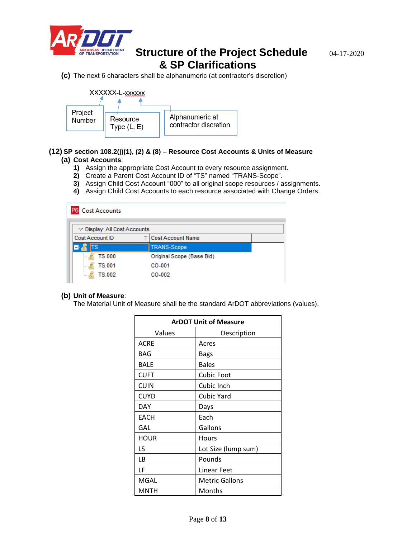

**(c)** The next 6 characters shall be alphanumeric (at contractor's discretion)



#### **(12) SP section 108.2(j)(1), (2) & (8) – Resource Cost Accounts & Units of Measure (a) Cost Accounts**:

- **1)** Assign the appropriate Cost Account to every resource assignment.
- **2)** Create a Parent Cost Account ID of "TS" named "TRANS-Scope".
- **3)** Assign Child Cost Account "000" to all original scope resources / assignments.
- **4)** Assign Child Cost Accounts to each resource associated with Change Orders.

| <b>Cost Accounts</b>                       |   |                           |  |  |  |
|--------------------------------------------|---|---------------------------|--|--|--|
| $\triangledown$ Display: All Cost Accounts |   |                           |  |  |  |
| Cost Account ID                            | E | Cost Account Name         |  |  |  |
| ГS                                         |   | <b>TRANS-Scope</b>        |  |  |  |
| <b>TS.000</b>                              |   | Original Scope (Base Bid) |  |  |  |
| <b>TS.001</b>                              |   | CO-001                    |  |  |  |
| <b>TS.002</b>                              |   | CO-002                    |  |  |  |

#### **(b) Unit of Measure**:

The Material Unit of Measure shall be the standard ArDOT abbreviations (values).

| <b>ArDOT Unit of Measure</b> |                       |  |  |
|------------------------------|-----------------------|--|--|
| Values                       | Description           |  |  |
| ACRE                         | Acres                 |  |  |
| BAG                          | Bags                  |  |  |
| BALE                         | <b>Bales</b>          |  |  |
| <b>CUFT</b>                  | <b>Cubic Foot</b>     |  |  |
| <b>CUIN</b>                  | Cubic Inch            |  |  |
| <b>CUYD</b>                  | <b>Cubic Yard</b>     |  |  |
| DAY                          | Days                  |  |  |
| <b>EACH</b>                  | Each                  |  |  |
| GAL                          | Gallons               |  |  |
| <b>HOUR</b>                  | Hours                 |  |  |
| LS                           | Lot Size (lump sum)   |  |  |
| LB                           | Pounds                |  |  |
| LF                           | Linear Feet           |  |  |
| <b>MGAL</b>                  | <b>Metric Gallons</b> |  |  |
| MNTH                         | Months                |  |  |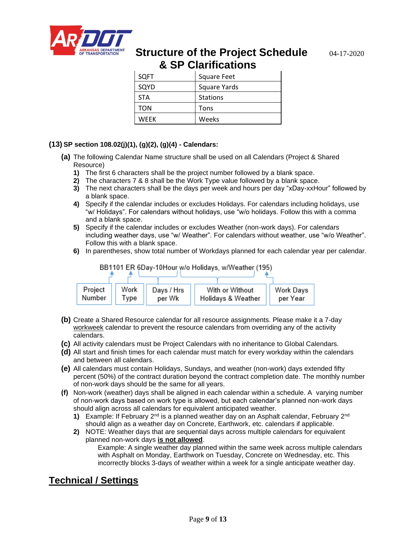

| <b>SQFT</b> | Square Feet         |
|-------------|---------------------|
| SQYD        | <b>Square Yards</b> |
| <b>STA</b>  | <b>Stations</b>     |
| TON         | Tons                |
| <b>WEFK</b> | Weeks               |

### **(13) SP section 108.02(j)(1), (g)(2), (g)(4) - Calendars:**

- **(a)** The following Calendar Name structure shall be used on all Calendars (Project & Shared Resource)
	- **1)** The first 6 characters shall be the project number followed by a blank space.
	- **2)** The characters 7 & 8 shall be the Work Type value followed by a blank space.
	- **3)** The next characters shall be the days per week and hours per day "xDay-xxHour" followed by a blank space.
	- **4)** Specify if the calendar includes or excludes Holidays. For calendars including holidays, use "w/ Holidays". For calendars without holidays, use "w/o holidays. Follow this with a comma and a blank space.
	- **5)** Specify if the calendar includes or excludes Weather (non-work days). For calendars including weather days, use "w/ Weather". For calendars without weather, use "w/o Weather". Follow this with a blank space.
	- **6)** In parentheses, show total number of Workdays planned for each calendar year per calendar.



- **(b)** Create a Shared Resource calendar for all resource assignments. Please make it a 7-day workweek calendar to prevent the resource calendars from overriding any of the activity calendars.
- **(c)** All activity calendars must be Project Calendars with no inheritance to Global Calendars.
- **(d)** All start and finish times for each calendar must match for every workday within the calendars and between all calendars.
- **(e)** All calendars must contain Holidays, Sundays, and weather (non-work) days extended fifty percent (50%) of the contract duration beyond the contract completion date. The monthly number of non-work days should be the same for all years.
- **(f)** Non-work (weather) days shall be aligned in each calendar within a schedule. A varying number of non-work days based on work type is allowed, but each calendar's planned non-work days should align across all calendars for equivalent anticipated weather.
	- **1)** Example: If February 2<sup>nd</sup> is a planned weather day on an Asphalt calendar, February 2<sup>nd</sup> should align as a weather day on Concrete, Earthwork, etc. calendars if applicable.
	- **2)** NOTE: Weather days that are sequential days across multiple calendars for equivalent planned non-work days **is not allowed**.

Example: A single weather day planned within the same week across multiple calendars with Asphalt on Monday, Earthwork on Tuesday, Concrete on Wednesday, etc. This incorrectly blocks 3-days of weather within a week for a single anticipate weather day.

## **Technical / Settings**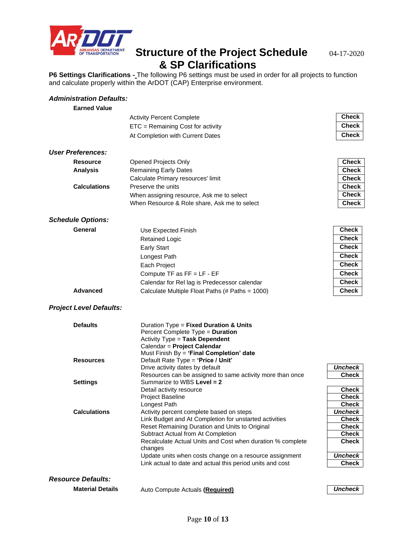

**P6 Settings Clarifications -** The following P6 settings must be used in order for all projects to function and calculate properly within the ArDOT (CAP) Enterprise environment.

### *Administration Defaults:*

| <b>Earned Value</b>            |                                                                                                    |                         |
|--------------------------------|----------------------------------------------------------------------------------------------------|-------------------------|
|                                | <b>Activity Percent Complete</b>                                                                   | <b>Check</b>            |
|                                | ETC = Remaining Cost for activity                                                                  | <b>Check</b>            |
|                                | At Completion with Current Dates                                                                   | <b>Check</b>            |
|                                |                                                                                                    |                         |
| <b>User Preferences:</b>       |                                                                                                    |                         |
| <b>Resource</b>                | <b>Opened Projects Only</b>                                                                        | <b>Check</b>            |
| <b>Analysis</b>                | <b>Remaining Early Dates</b>                                                                       | <b>Check</b>            |
|                                | Calculate Primary resources' limit                                                                 | <b>Check</b>            |
| <b>Calculations</b>            | Preserve the units                                                                                 | <b>Check</b>            |
|                                | When assigning resource, Ask me to select                                                          | <b>Check</b>            |
|                                | When Resource & Role share, Ask me to select                                                       | <b>Check</b>            |
| <b>Schedule Options:</b>       |                                                                                                    |                         |
| General                        | Use Expected Finish                                                                                | <b>Check</b>            |
|                                | <b>Retained Logic</b>                                                                              | <b>Check</b>            |
|                                | <b>Early Start</b>                                                                                 | <b>Check</b>            |
|                                | Longest Path                                                                                       | <b>Check</b>            |
|                                | Each Project                                                                                       | <b>Check</b>            |
|                                | Compute TF as FF = LF - EF                                                                         | <b>Check</b>            |
|                                | Calendar for Rel lag is Predecessor calendar                                                       | <b>Check</b>            |
| <b>Advanced</b>                | Calculate Multiple Float Paths (# Paths = 1000)                                                    | <b>Check</b>            |
| <b>Project Level Defaults:</b> |                                                                                                    |                         |
| <b>Defaults</b>                | Duration $Type = Fixed$ Duration & Units                                                           |                         |
|                                | Percent Complete Type = Duration                                                                   |                         |
|                                | Activity Type = Task Dependent                                                                     |                         |
|                                | Calendar = Project Calendar                                                                        |                         |
| <b>Resources</b>               | Must Finish By = 'Final Completion' date<br>Default Rate Type = 'Price / Unit'                     |                         |
|                                | Drive activity dates by default                                                                    | <b>Uncheck</b>          |
|                                | Resources can be assigned to same activity more than once                                          | <b>Check</b>            |
| <b>Settings</b>                | Summarize to WBS Level = 2                                                                         |                         |
|                                | Detail activity resource                                                                           | <b>Check</b>            |
|                                | <b>Project Baseline</b>                                                                            | <b>Check</b>            |
|                                | Longest Path                                                                                       | <b>Check</b>            |
| <b>Calculations</b>            | Activity percent complete based on steps<br>Link Budget and At Completion for unstarted activities | Uncheck<br><b>Check</b> |
|                                | Reset Remaining Duration and Units to Original                                                     | <b>Check</b>            |
|                                | Subtract Actual from At Completion                                                                 | <b>Check</b>            |
|                                | Recalculate Actual Units and Cost when duration % complete                                         | <b>Check</b>            |
|                                | changes                                                                                            |                         |
|                                | Update units when costs change on a resource assignment                                            | <b>Uncheck</b>          |
|                                | Link actual to date and actual this period units and cost                                          | <b>Check</b>            |
| <b>Resource Defaults:</b>      |                                                                                                    |                         |
| <b>Material Details</b>        | Auto Compute Actuals (Required)                                                                    | <b>Uncheck</b>          |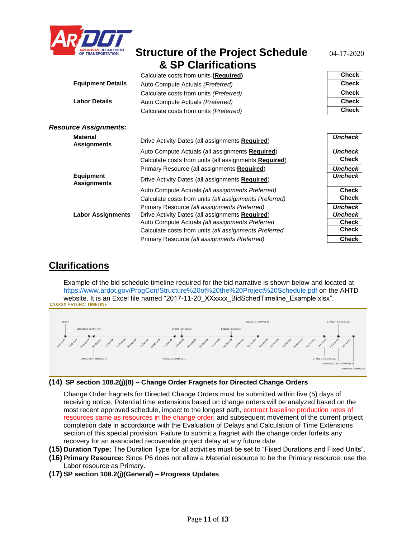

|                                        | Calculate costs from units (Required)                         | <b>Check</b>   |
|----------------------------------------|---------------------------------------------------------------|----------------|
| <b>Equipment Details</b>               | Auto Compute Actuals (Preferred)                              | <b>Check</b>   |
|                                        | Calculate costs from units (Preferred)                        | <b>Check</b>   |
| <b>Labor Details</b>                   | Auto Compute Actuals (Preferred)                              | <b>Check</b>   |
|                                        | Calculate costs from units (Preferred)                        | <b>Check</b>   |
| <b>Resource Assignments:</b>           |                                                               |                |
| <b>Material</b><br><b>Assignments</b>  | Drive Activity Dates (all assignments Required)               | <b>Uncheck</b> |
|                                        | Auto Compute Actuals (all assignments Required)               | <b>Uncheck</b> |
|                                        | Calculate costs from units (all assignments <b>Required</b> ) | <b>Check</b>   |
|                                        | Primary Resource (all assignments <b>Required)</b>            | <b>Uncheck</b> |
| <b>Equipment</b><br><b>Assignments</b> | Drive Activity Dates (all assignments Required)               | <b>Uncheck</b> |
|                                        | Auto Compute Actuals (all assignments Preferred)              | <b>Check</b>   |
|                                        | Calculate costs from units (all assignments Preferred)        | Check          |
|                                        | Primary Resource (all assignments Preferred)                  | <b>Uncheck</b> |
| <b>Labor Assignments</b>               | Drive Activity Dates (all assignments Required)               | <b>Uncheck</b> |
|                                        | Auto Compute Actuals (all assignments Preferred               | <b>Check</b>   |
|                                        | Calculate costs from units (all assignments Preferred         | Check          |
|                                        | Primary Resource (all assignments Preferred)                  | Check          |

## **Clarifications**

Example of the bid schedule timeline required for the bid narrative is shown below and located at <https://www.ardot.gov/ProgCon/Structure%20of%20the%20Project%20Schedule.pdf> on the AHTD website. It is an Excel file named "2017-11-20\_XXxxxx\_BidSchedTimeline\_Example.xlsx".<br>CAXXXX PROJECT TIMELINE



**(14) SP section 108.2(j)(8) – Change Order Fragnets for Directed Change Orders**

Change Order fragnets for Directed Change Orders must be submitted within five (5) days of receiving notice. Potential time extensions based on change orders will be analyzed based on the most recent approved schedule, impact to the longest path, contract baseline production rates of resources same as resources in the change order, and subsequent movement of the current project completion date in accordance with the Evaluation of Delays and Calculation of Time Extensions section of this special provision. Failure to submit a fragnet with the change order forfeits any recovery for an associated recoverable project delay at any future date.

- **(15) Duration Type:** The Duration Type for all activities must be set to "Fixed Durations and Fixed Units".
- **(16) Primary Resource:** Since P6 does not allow a Material resource to be the Primary resource, use the Labor resource as Primary.
- **(17) SP section 108.2(j)(General) – Progress Updates**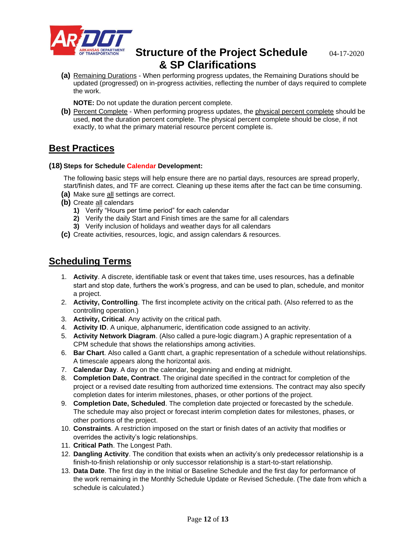

**(a)** Remaining Durations - When performing progress updates, the Remaining Durations should be updated (progressed) on in-progress activities, reflecting the number of days required to complete the work.

**NOTE:** Do not update the duration percent complete.

**(b)** Percent Complete - When performing progress updates, the physical percent complete should be used, **not** the duration percent complete. The physical percent complete should be close, if not exactly, to what the primary material resource percent complete is.

## **Best Practices**

#### **(18) Steps for Schedule Calendar Development:**

The following basic steps will help ensure there are no partial days, resources are spread properly, start/finish dates, and TF are correct. Cleaning up these items after the fact can be time consuming.

- **(a)** Make sure all settings are correct.
- **(b)** Create all calendars
	- **1)** Verify "Hours per time period" for each calendar
	- **2)** Verify the daily Start and Finish times are the same for all calendars
	- **3)** Verify inclusion of holidays and weather days for all calendars
- **(c)** Create activities, resources, logic, and assign calendars & resources.

## **Scheduling Terms**

- 1. **Activity**. A discrete, identifiable task or event that takes time, uses resources, has a definable start and stop date, furthers the work's progress, and can be used to plan, schedule, and monitor a project.
- 2. **Activity, Controlling**. The first incomplete activity on the critical path. (Also referred to as the controlling operation.)
- 3. **Activity, Critical**. Any activity on the critical path.
- 4. **Activity ID**. A unique, alphanumeric, identification code assigned to an activity.
- 5. **Activity Network Diagram**. (Also called a pure-logic diagram.) A graphic representation of a CPM schedule that shows the relationships among activities.
- 6. **Bar Chart**. Also called a Gantt chart, a graphic representation of a schedule without relationships. A timescale appears along the horizontal axis.
- 7. **Calendar Day**. A day on the calendar, beginning and ending at midnight.
- 8. **Completion Date, Contract**. The original date specified in the contract for completion of the project or a revised date resulting from authorized time extensions. The contract may also specify completion dates for interim milestones, phases, or other portions of the project.
- 9. **Completion Date, Scheduled**. The completion date projected or forecasted by the schedule. The schedule may also project or forecast interim completion dates for milestones, phases, or other portions of the project.
- 10. **Constraints**. A restriction imposed on the start or finish dates of an activity that modifies or overrides the activity's logic relationships.
- 11. **Critical Path**. The Longest Path.
- 12. **Dangling Activity**. The condition that exists when an activity's only predecessor relationship is a finish-to-finish relationship or only successor relationship is a start-to-start relationship.
- 13. **Data Date**. The first day in the Initial or Baseline Schedule and the first day for performance of the work remaining in the Monthly Schedule Update or Revised Schedule. (The date from which a schedule is calculated.)